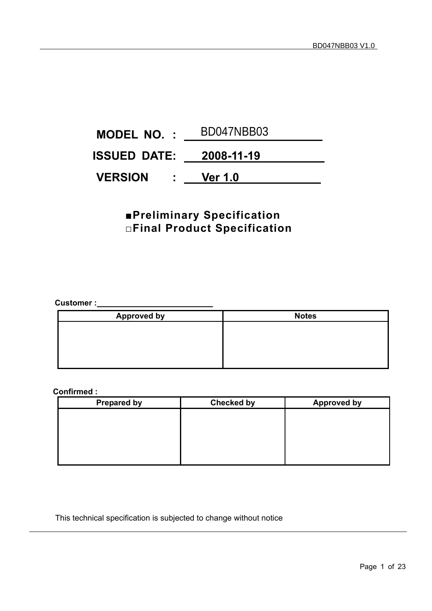| <b>MODEL NO. :</b>                  | BD047NBB03     |
|-------------------------------------|----------------|
| <b>ISSUED DATE:  2008-11-19</b>     |                |
| <b>VERSION</b><br>$\sim$ 100 $\sim$ | <b>Ver 1.0</b> |

# **■Preliminary Specification □Final Product Specification**

**Customer :** 

| <b>Approved by</b> | <b>Notes</b> |
|--------------------|--------------|
|                    |              |
|                    |              |
|                    |              |
|                    |              |

## **Confirmed :**

| <b>Prepared by</b> | <b>Checked by</b> | <b>Approved by</b> |
|--------------------|-------------------|--------------------|
|                    |                   |                    |
|                    |                   |                    |
|                    |                   |                    |
|                    |                   |                    |
|                    |                   |                    |

## This technical specification is subjected to change without notice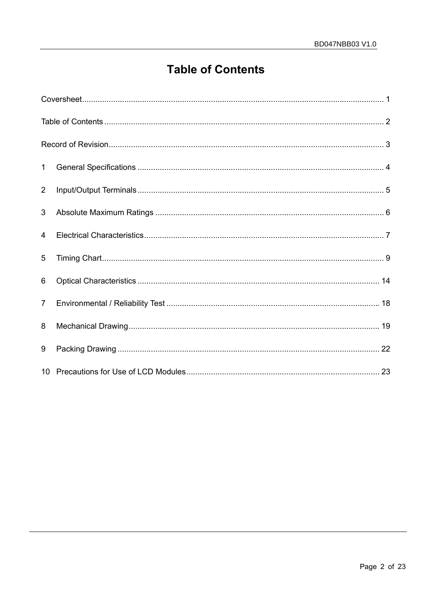# **Table of Contents**

| $\mathbf{1}$   |  |
|----------------|--|
| $\overline{2}$ |  |
| 3              |  |
| $\overline{4}$ |  |
| 5              |  |
| 6              |  |
| $7^{\circ}$    |  |
| 8              |  |
| 9              |  |
|                |  |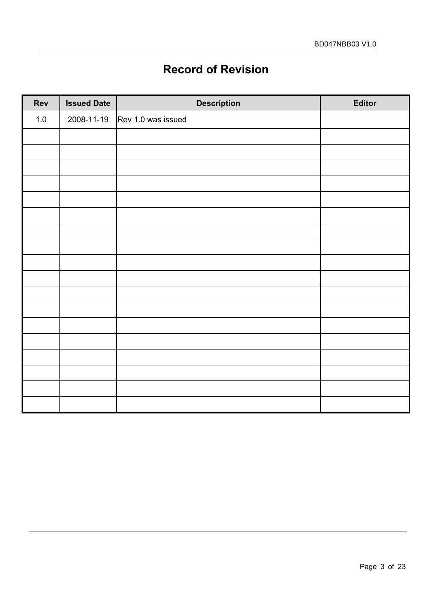# **Record of Revision**

| Rev     | <b>Issued Date</b> | <b>Description</b> | Editor |
|---------|--------------------|--------------------|--------|
| $1.0\,$ | 2008-11-19         | Rev 1.0 was issued |        |
|         |                    |                    |        |
|         |                    |                    |        |
|         |                    |                    |        |
|         |                    |                    |        |
|         |                    |                    |        |
|         |                    |                    |        |
|         |                    |                    |        |
|         |                    |                    |        |
|         |                    |                    |        |
|         |                    |                    |        |
|         |                    |                    |        |
|         |                    |                    |        |
|         |                    |                    |        |
|         |                    |                    |        |
|         |                    |                    |        |
|         |                    |                    |        |
|         |                    |                    |        |
|         |                    |                    |        |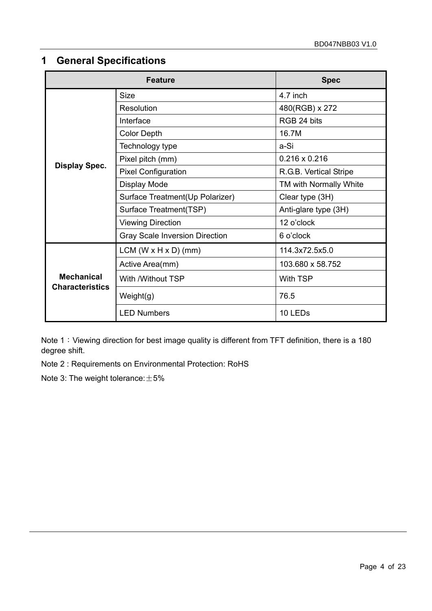# **1 General Specifications**

|                                             | <b>Feature</b>                        | <b>Spec</b>            |  |  |
|---------------------------------------------|---------------------------------------|------------------------|--|--|
|                                             | <b>Size</b>                           | 4.7 inch               |  |  |
|                                             | Resolution                            | 480(RGB) x 272         |  |  |
|                                             | Interface                             | RGB 24 bits            |  |  |
|                                             | <b>Color Depth</b>                    | 16.7M                  |  |  |
|                                             | Technology type                       | a-Si                   |  |  |
|                                             | Pixel pitch (mm)                      | $0.216 \times 0.216$   |  |  |
| <b>Display Spec.</b>                        | <b>Pixel Configuration</b>            | R.G.B. Vertical Stripe |  |  |
|                                             | <b>Display Mode</b>                   | TM with Normally White |  |  |
|                                             | Surface Treatment(Up Polarizer)       | Clear type (3H)        |  |  |
|                                             | Surface Treatment(TSP)                | Anti-glare type (3H)   |  |  |
|                                             | <b>Viewing Direction</b>              | 12 o'clock             |  |  |
|                                             | <b>Gray Scale Inversion Direction</b> | 6 o'clock              |  |  |
|                                             | $LCM (W \times H \times D)$ (mm)      | 114.3x72.5x5.0         |  |  |
|                                             | Active Area(mm)                       | 103.680 x 58.752       |  |  |
| <b>Mechanical</b><br><b>Characteristics</b> | With /Without TSP                     | <b>With TSP</b>        |  |  |
|                                             | Weight(g)                             | 76.5                   |  |  |
|                                             | <b>LED Numbers</b>                    | 10 LEDs                |  |  |

Note 1: Viewing direction for best image quality is different from TFT definition, there is a 180 degree shift.

Note 2 : Requirements on Environmental Protection: RoHS

Note 3: The weight tolerance:  $\pm 5\%$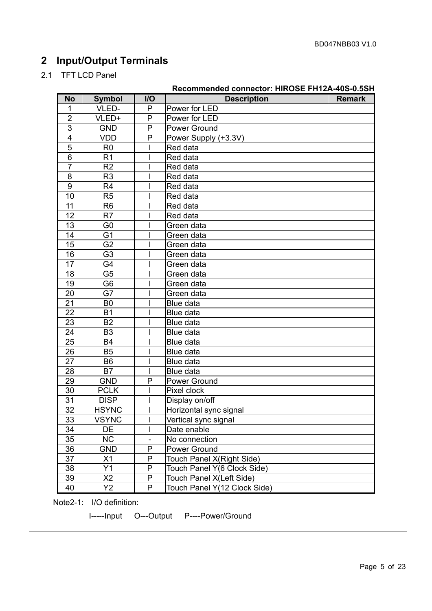# **2 Input/Output Terminals**

2.1 TFT LCD Panel

|                  |                |                              | Recommended connector: HIROSE FH1ZA-40S-0.5SH |               |
|------------------|----------------|------------------------------|-----------------------------------------------|---------------|
| <b>No</b>        | <b>Symbol</b>  | I/O                          | <b>Description</b>                            | <b>Remark</b> |
| 1                | VLED-          | P                            | Power for LED                                 |               |
| $\overline{2}$   | VLED+          | P                            | Power for LED                                 |               |
| $\overline{3}$   | <b>GND</b>     | P                            | Power Ground                                  |               |
| $\overline{4}$   | <b>VDD</b>     | P                            | Power Supply (+3.3V)                          |               |
| 5                | R <sub>0</sub> |                              | Red data                                      |               |
| 6                | R <sub>1</sub> |                              | Red data                                      |               |
| $\overline{7}$   | R <sub>2</sub> |                              | Red data                                      |               |
| 8                | R <sub>3</sub> |                              | Red data                                      |               |
| $\boldsymbol{9}$ | R <sub>4</sub> |                              | Red data                                      |               |
| 10               | R <sub>5</sub> |                              | Red data                                      |               |
| 11               | R <sub>6</sub> |                              | Red data                                      |               |
| 12               | R7             |                              | Red data                                      |               |
| 13               | G <sub>0</sub> |                              | Green data                                    |               |
| 14               | G <sub>1</sub> |                              | Green data                                    |               |
| 15               | G <sub>2</sub> |                              | Green data                                    |               |
| 16               | G <sub>3</sub> |                              | Green data                                    |               |
| 17               | G4             |                              | Green data                                    |               |
| 18               | G <sub>5</sub> |                              | Green data                                    |               |
| 19               | G <sub>6</sub> |                              | Green data                                    |               |
| 20               | G7             |                              | Green data                                    |               |
| 21               | B <sub>0</sub> |                              | Blue data                                     |               |
| 22               | <b>B1</b>      |                              | Blue data                                     |               |
| 23               | <b>B2</b>      |                              | Blue data                                     |               |
| 24               | B <sub>3</sub> |                              | Blue data                                     |               |
| 25               | <b>B4</b>      |                              | Blue data                                     |               |
| 26               | <b>B5</b>      |                              | Blue data                                     |               |
| 27               | <b>B6</b>      |                              | Blue data                                     |               |
| 28               | B7             |                              | Blue data                                     |               |
| 29               | <b>GND</b>     | P                            | Power Ground                                  |               |
| 30               | <b>PCLK</b>    |                              | Pixel clock                                   |               |
| 31               | <b>DISP</b>    |                              | Display on/off                                |               |
| 32               | <b>HSYNC</b>   |                              | Horizontal sync signal                        |               |
| 33               | <b>VSYNC</b>   |                              | Vertical sync signal                          |               |
| 34               | DE             |                              | Date enable                                   |               |
| 35               | <b>NC</b>      | $\qquad \qquad \blacksquare$ | No connection                                 |               |
| 36               | <b>GND</b>     | P                            | Power Ground                                  |               |
| 37               | X1             | P                            | Touch Panel X(Right Side)                     |               |
| 38               | Y1             | P                            | Touch Panel Y(6 Clock Side)                   |               |
| 39               | X <sub>2</sub> | P                            | Touch Panel X(Left Side)                      |               |
| 40               | Y2             | P                            | Touch Panel Y(12 Clock Side)                  |               |

**Recommended connector: HIROSE FH12A-40S-0.5SH** 

Note2-1: I/O definition:

I-----Input O---Output P----Power/Ground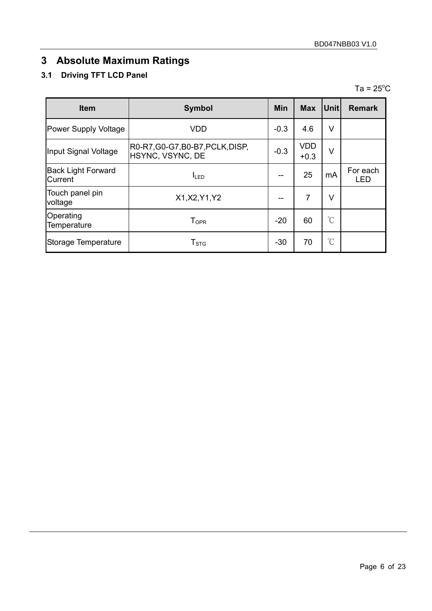# **3 Absolute Maximum Ratings**

# **3.1 Driving TFT LCD Panel**

 $Ta = 25^{\circ}C$ 

| <b>Item</b>                          | <b>Symbol</b>                                        | <b>Min</b> | <b>Max</b>           | Unit                 | <b>Remark</b>   |
|--------------------------------------|------------------------------------------------------|------------|----------------------|----------------------|-----------------|
| <b>Power Supply Voltage</b>          | <b>VDD</b>                                           | $-0.3$     | 4.6                  | V                    |                 |
| Input Signal Voltage                 | R0-R7, G0-G7, B0-B7, PCLK, DISP,<br>HSYNC, VSYNC, DE | $-0.3$     | <b>VDD</b><br>$+0.3$ | V                    |                 |
| <b>Back Light Forward</b><br>Current | $I_{LED}$                                            |            | 25                   | mA                   | For each<br>LED |
| Touch panel pin<br>voltage           | X1, X2, Y1, Y2                                       |            | $\overline{7}$       | V                    |                 |
| Operating<br>Temperature             | ${\mathsf T}_{\textsf{OPR}}$                         | $-20$      | 60                   | $\mathrm{C}^{\circ}$ |                 |
| Storage Temperature                  | ${\sf T}_{\text{STG}}$                               | $-30$      | 70                   | $\mathrm{C}^{\circ}$ |                 |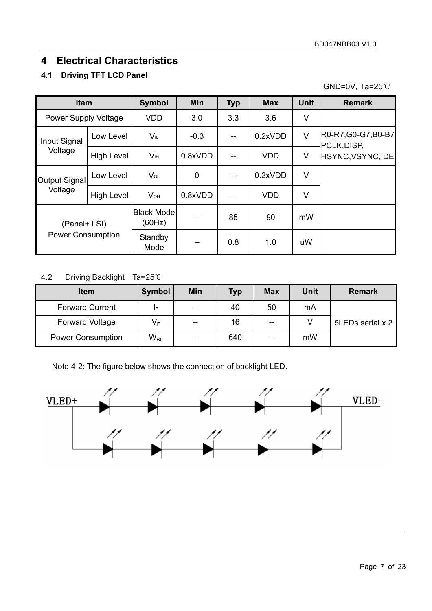# **4 Electrical Characteristics**

## **4.1 Driving TFT LCD Panel**

GND=0V, Ta=25℃

| <b>Item</b>              |                   | Symbol                       | <b>Min</b>  | <b>Typ</b> | <b>Max</b> | <b>Unit</b> | <b>Remark</b>                      |
|--------------------------|-------------------|------------------------------|-------------|------------|------------|-------------|------------------------------------|
| Power Supply Voltage     |                   | <b>VDD</b>                   | 3.0         | 3.3        | 3.6        | V           |                                    |
| Input Signal             | Low Level         | VIL                          | $-0.3$      | $-$        | 0.2xVDD    | V           | R0-R7, G0-G7, B0-B7<br>PCLK, DISP, |
| Voltage                  | <b>High Level</b> | V <sub>IH</sub>              | 0.8xVDD     |            | <b>VDD</b> | V           | HSYNC, VSYNC, DE                   |
| Output Signal            | Low Level         | $V_{OL}$                     | $\mathbf 0$ |            | 0.2xVDD    | V           |                                    |
| Voltage                  | High Level        | $V_{OH}$                     | 0.8xVDD     |            | <b>VDD</b> | V           |                                    |
| (Panel+ LSI)             |                   | <b>Black Model</b><br>(60Hz) |             | 85         | 90         | mW          |                                    |
| <b>Power Consumption</b> |                   | Standby<br>Mode              |             | 0.8        | 1.0        | uW          |                                    |

## 4.2 Driving Backlight Ta=25℃

| <b>Item</b>              | <b>Symbol</b> | <b>Min</b> | Typ | <b>Max</b> | <b>Unit</b> | <b>Remark</b>    |
|--------------------------|---------------|------------|-----|------------|-------------|------------------|
| <b>Forward Current</b>   | IF            | $- -$      | 40  | 50         | mA          |                  |
| <b>Forward Voltage</b>   | $V_F$         | $- -$      | 16  | $-$        |             | 5LEDs serial x 2 |
| <b>Power Consumption</b> | $W_{BL}$      | $-$        | 640 | $-$        | mW          |                  |

Note 4-2: The figure below shows the connection of backlight LED.

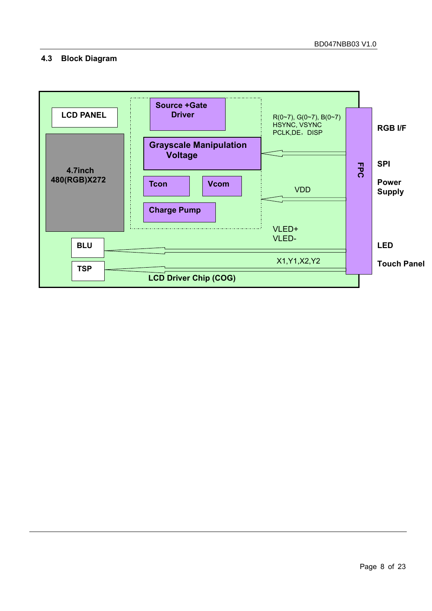## **4.3 Block Diagram**

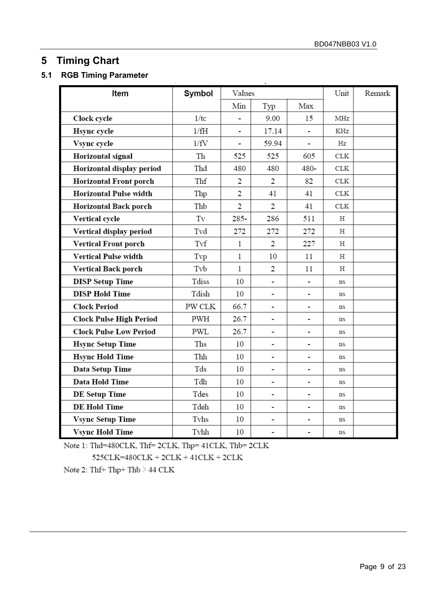# **5 Timing Chart**

## **5.1 RGB Timing Parameter**

| Item                          | Symbol              | Values                   |                          |                              | Unit        | Remark |
|-------------------------------|---------------------|--------------------------|--------------------------|------------------------------|-------------|--------|
|                               |                     | Min                      | Typ                      | Max                          |             |        |
| Clock cycle                   | 1/tc                |                          | 9.00                     | 15                           | MHz         |        |
| <b>Hsync</b> cycle            | 1/fH                |                          | 17.14                    |                              | KHz         |        |
| Vsync cycle                   | 1/fV                | $\overline{\phantom{0}}$ | 59.94                    | $\qquad \qquad \blacksquare$ | Hz          |        |
| Horizontal signal             | Th                  | 525                      | 525                      | 605                          | ${\rm CLK}$ |        |
| Horizontal display period     | Thd                 | 480                      | 480                      | 480-                         | CLK         |        |
| <b>Horizontal Front porch</b> | Thf                 | $\overline{2}$           | 2                        | 82                           | ${\rm CLK}$ |        |
| <b>Horizontal Pulse width</b> | Thp                 | 2                        | 41                       | 41                           | ${\rm CLK}$ |        |
| <b>Horizontal Back porch</b>  | Thb                 | $\overline{c}$           | $\overline{c}$           | 41                           | CLK         |        |
| Vertical cycle                | $\operatorname{Tv}$ | $285 -$                  | 286                      | 511                          | Η           |        |
| Vertical display period       | Tvd                 | 272                      | 272                      | 272                          | Н           |        |
| <b>Vertical Front porch</b>   | Tvf                 | 1                        | 2                        | 227                          | Н           |        |
| <b>Vertical Pulse width</b>   | Tvp                 | 1                        | 10                       | 11                           | Н           |        |
| <b>Vertical Back porch</b>    | Tvb                 | 1                        | 2                        | 11                           | Η           |        |
| <b>DISP Setup Time</b>        | Tdiss               | 10                       |                          | $\blacksquare$               | <b>ns</b>   |        |
| <b>DISP Hold Time</b>         | Tdish               | 10                       | $\overline{\phantom{a}}$ | $\qquad \qquad \blacksquare$ | ns          |        |
| <b>Clock Period</b>           | PW CLK              | 66.7                     | -                        |                              | ns          |        |
| Clock Pulse High Period       | PWH                 | 26.7                     |                          | -                            | ns          |        |
| <b>Clock Pulse Low Period</b> | <b>PWL</b>          | 26.7                     | $\overline{\phantom{a}}$ | $\qquad \qquad \blacksquare$ | ns          |        |
| <b>Hsync Setup Time</b>       | Ths                 | 10                       | -                        | $\overline{\phantom{a}}$     | ns          |        |
| <b>Hsync Hold Time</b>        | Thh                 | 10                       | -                        | $\overline{\phantom{a}}$     | ns          |        |
| Data Setup Time               | Tds                 | 10                       | $\blacksquare$           | $\blacksquare$               | ns          |        |
| Data Hold Time                | Tdh                 | 10                       | -                        | $\qquad \qquad \blacksquare$ | ns          |        |
| <b>DE Setup Time</b>          | Tdes                | 10                       | $\overline{\phantom{a}}$ | $\overline{\phantom{0}}$     | ns          |        |
| <b>DE Hold Time</b>           | Tdeh                | 10                       | -                        | $\blacksquare$               | ns          |        |
| <b>Vsync Setup Time</b>       | Tyhs                | 10                       | $\overline{\phantom{a}}$ | $\blacksquare$               | ns          |        |
| <b>Vsync Hold Time</b>        | Tvhh                | 10                       | $\blacksquare$           | $\blacksquare$               | ns          |        |

Note 1: Thd=480CLK, Thf=2CLK, Thp=41CLK, Thb=2CLK

 $525CLK=480CLK + 2CLK + 41CLK + 2CLK$ 

Note 2: Thf+ Thp+ Thb  $\geq$  44 CLK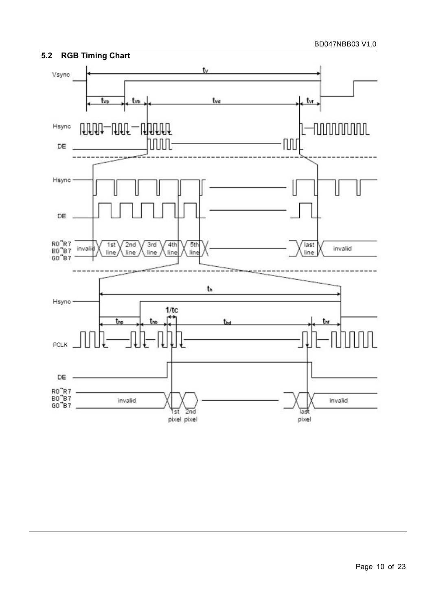

#### Page 10 of 23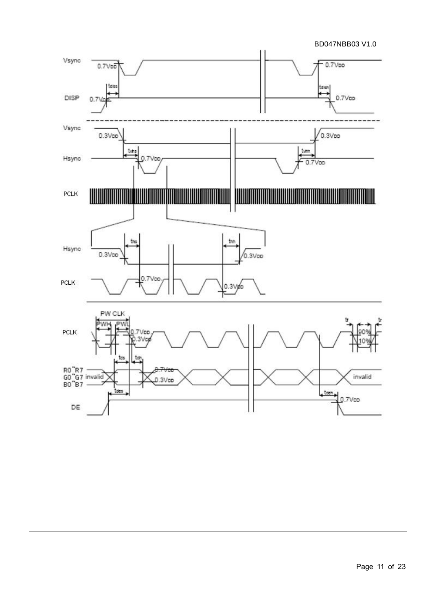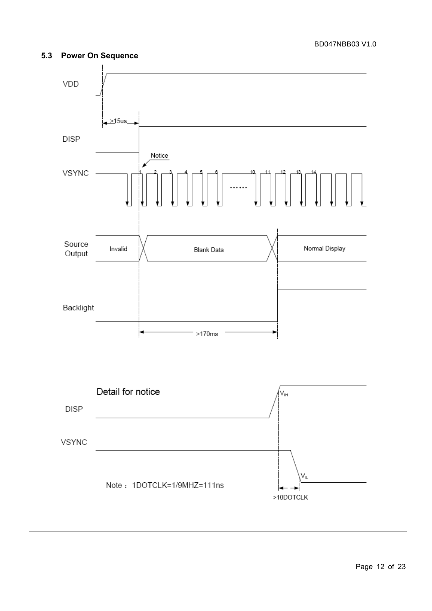



Page 12 of 23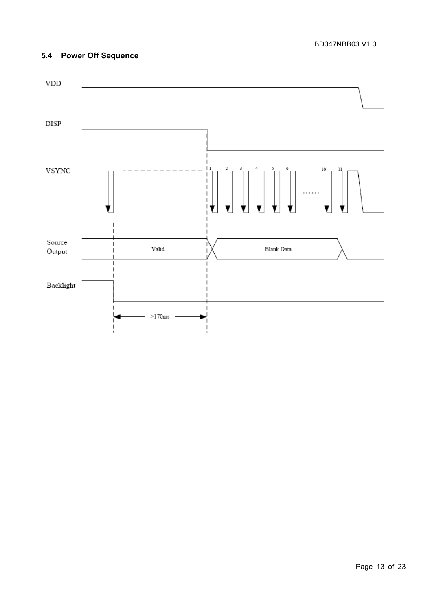## **5.4 Power Off Sequence**

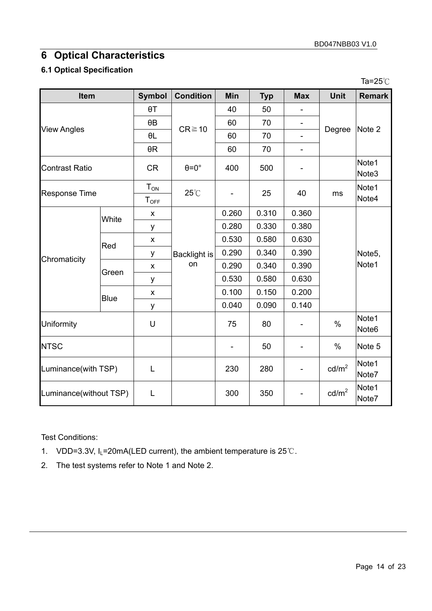# **6 Optical Characteristics**

## **6.1 Optical Specification**

|                        |                    |                       |                           |       |            |                          |                   | Ta=25 $\degree$ C          |
|------------------------|--------------------|-----------------------|---------------------------|-------|------------|--------------------------|-------------------|----------------------------|
| Item                   |                    | <b>Symbol</b>         | <b>Condition</b>          | Min   | <b>Typ</b> | <b>Max</b>               | <b>Unit</b>       | <b>Remark</b>              |
|                        |                    | $\theta$ T            |                           | 40    | 50         |                          |                   |                            |
|                        |                    | $\theta$ B            | $CR \ge 10$               | 60    | 70         |                          |                   | Note 2                     |
|                        | <b>View Angles</b> |                       |                           | 60    | 70         |                          | Degree            |                            |
|                        |                    | $\theta R$            |                           | 60    | 70         | $\overline{\phantom{0}}$ |                   |                            |
| <b>Contrast Ratio</b>  |                    | <b>CR</b>             | $\theta = 0^\circ$        | 400   | 500        |                          |                   | Note1<br>Note3             |
| <b>Response Time</b>   |                    | $T_{ON}$<br>$T_{OFF}$ | $25^{\circ}$ C            |       | 25         | 40                       | ms                | Note1<br>Note4             |
|                        | White              | X                     |                           | 0.260 | 0.310      | 0.360                    |                   |                            |
|                        |                    | у                     |                           | 0.280 | 0.330      | 0.380                    |                   |                            |
|                        | Red                | X                     | <b>Backlight is</b><br>on | 0.530 | 0.580      | 0.630                    |                   |                            |
|                        |                    | у                     |                           | 0.290 | 0.340      | 0.390                    |                   | Note <sub>5</sub> ,        |
| Chromaticity           | Green              | X                     |                           | 0.290 | 0.340      | 0.390                    |                   | Note1                      |
|                        |                    | у                     |                           | 0.530 | 0.580      | 0.630                    |                   |                            |
|                        | Blue               | X                     |                           | 0.100 | 0.150      | 0.200                    |                   |                            |
|                        |                    | у                     |                           | 0.040 | 0.090      | 0.140                    |                   |                            |
| Uniformity             |                    | U                     |                           | 75    | 80         |                          | $\%$              | Note1<br>Note <sub>6</sub> |
| <b>NTSC</b>            |                    |                       |                           |       | 50         |                          | %                 | Note <sub>5</sub>          |
| Luminance(with TSP)    |                    | L                     |                           | 230   | 280        |                          | $\text{cd/m}^2$   | Note1<br>Note7             |
| Luminance(without TSP) |                    | L                     |                           | 300   | 350        |                          | cd/m <sup>2</sup> | Note1<br>Note7             |

Test Conditions:

- 1. VDD=3.3V, I<sub>L</sub>=20mA(LED current), the ambient temperature is 25℃.
- 2. The test systems refer to Note 1 and Note 2.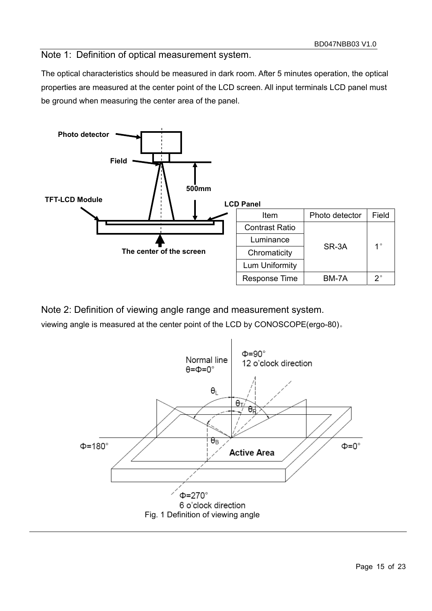Note 1: Definition of optical measurement system.

The optical characteristics should be measured in dark room. After 5 minutes operation, the optical properties are measured at the center point of the LCD screen. All input terminals LCD panel must be ground when measuring the center area of the panel.



Note 2: Definition of viewing angle range and measurement system.

viewing angle is measured at the center point of the LCD by CONOSCOPE(ergo-80)。

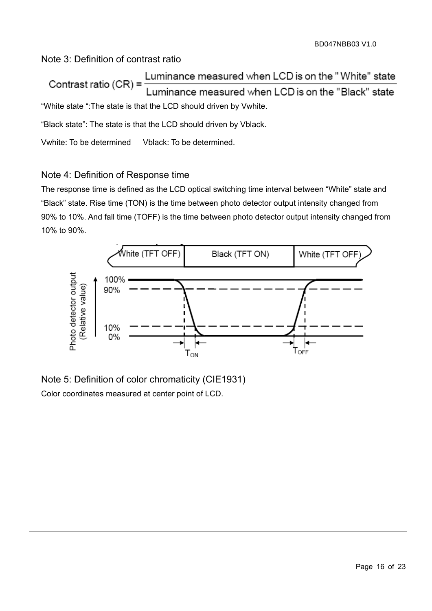Note 3: Definition of contrast ratio

Luminance measured when LCD is on the "White" state Contrast ratio (CR) = Luminance measured when LCD is on the "Black" state "White state ":The state is that the LCD should driven by Vwhite.

"Black state": The state is that the LCD should driven by Vblack.

Vwhite: To be determined Vblack: To be determined.

# Note 4: Definition of Response time

The response time is defined as the LCD optical switching time interval between "White" state and "Black" state. Rise time (TON) is the time between photo detector output intensity changed from 90% to 10%. And fall time (TOFF) is the time between photo detector output intensity changed from 10% to 90%.



Note 5: Definition of color chromaticity (CIE1931) Color coordinates measured at center point of LCD.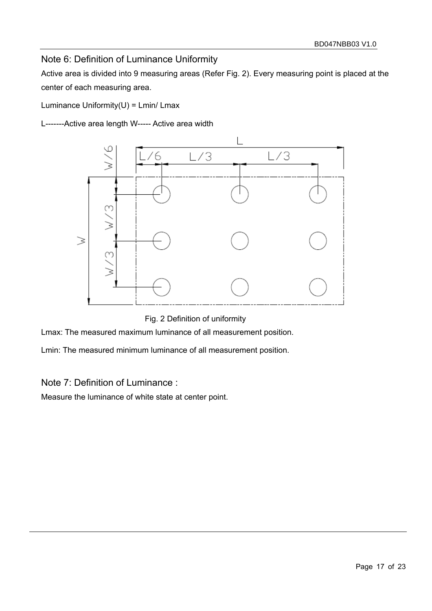# Note 6: Definition of Luminance Uniformity

Active area is divided into 9 measuring areas (Refer Fig. 2). Every measuring point is placed at the center of each measuring area.

Luminance Uniformity(U) = Lmin/ Lmax

L-------Active area length W----- Active area width



Fig. 2 Definition of uniformity

Lmax: The measured maximum luminance of all measurement position.

Lmin: The measured minimum luminance of all measurement position.

## Note 7: Definition of Luminance :

Measure the luminance of white state at center point.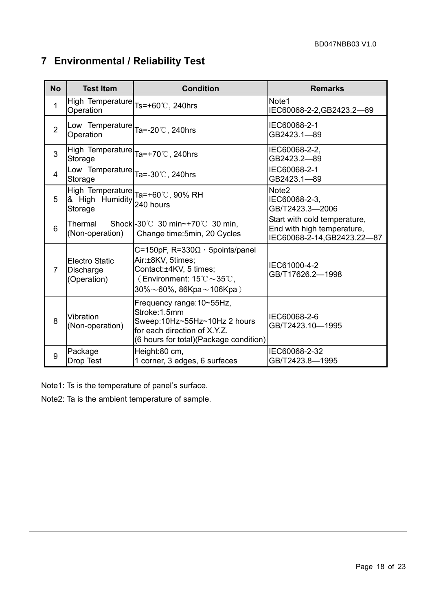# **7 Environmental / Reliability Test**

| <b>No</b>      | <b>Test Item</b>                                           | <b>Condition</b>                                                                                                                                                                                 | <b>Remarks</b>                                                                            |  |
|----------------|------------------------------------------------------------|--------------------------------------------------------------------------------------------------------------------------------------------------------------------------------------------------|-------------------------------------------------------------------------------------------|--|
| 1              | High Temperature <sub>Ts=+60</sub> °C, 240hrs<br>Operation |                                                                                                                                                                                                  | Note1<br>IEC60068-2-2, GB2423.2-89                                                        |  |
| $\overline{2}$ | Low Temperature<br>Operation                               | Ta=-20℃, 240hrs                                                                                                                                                                                  | IEC60068-2-1<br>GB2423.1-89                                                               |  |
| 3              | High Temperature Ta=+70°C, 240hrs<br>Storage               |                                                                                                                                                                                                  | IEC60068-2-2,<br>GB2423.2-89                                                              |  |
| 4              | Low Temperature  <sub>Ta=-30℃, 240hrs</sub><br>Storage     |                                                                                                                                                                                                  | IEC60068-2-1<br>GB2423.1-89                                                               |  |
| 5              | & High Humidity<br>Storage                                 | High Temperature  <sub>Ta=+60</sub> ℃, 90% RH<br>240 hours                                                                                                                                       | Note <sub>2</sub><br>IEC60068-2-3,<br>GB/T2423.3-2006                                     |  |
| 6              | Thermal<br>(Non-operation)                                 | Shock $-30^{\circ}$ 30 min $\sim$ +70 $^{\circ}$ 30 min,<br>Change time: 5min, 20 Cycles                                                                                                         | Start with cold temperature,<br>End with high temperature,<br>IEC60068-2-14, GB2423.22-87 |  |
| $\overline{7}$ | <b>Electro Static</b><br>Discharge<br>(Operation)          | C=150pF, $R=330\Omega$ , 5points/panel<br>Air:±8KV, 5times;<br>Contact:±4KV, 5 times;<br>(Environment: $15^{\circ}\text{C} \sim 35^{\circ}\text{C}$ ,<br>$30\% \sim 60\%$ , 86Kpa $\sim$ 106Kpa) | IEC61000-4-2<br>GB/T17626.2-1998                                                          |  |
| 8              | Vibration<br>(Non-operation)                               | Frequency range: 10~55Hz,<br>Stroke:1.5mm<br>Sweep:10Hz~55Hz~10Hz 2 hours<br>for each direction of X.Y.Z.<br>(6 hours for total) (Package condition)                                             | IEC60068-2-6<br>GB/T2423.10-1995                                                          |  |
| 9              | Package<br>Drop Test                                       | Height:80 cm,<br>1 corner, 3 edges, 6 surfaces                                                                                                                                                   | IEC60068-2-32<br>GB/T2423.8-1995                                                          |  |

Note1: Ts is the temperature of panel's surface.

Note2: Ta is the ambient temperature of sample.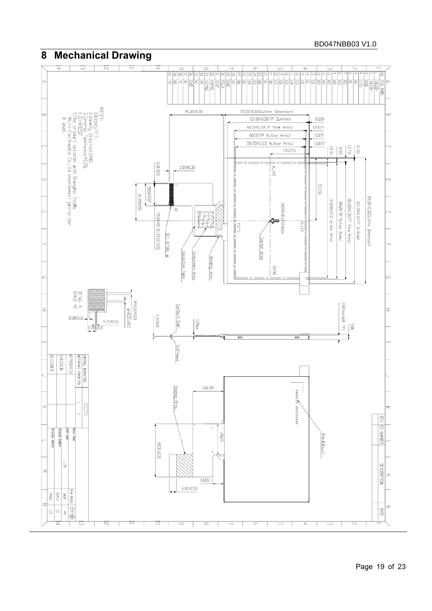#### BD047NBB03 V1.0

#### **8 Mechanical Drawing**   $\overline{\omega}$  $\overline{\sim}$ Ξ **FIN NAME**<br> **VLED-<br>
SULED-**<br> **VLED-**<br> **VLED-**<br> **VLED-**NUTES<br>I Display.rFT;<br>2.Yewing Direction:200;<br>2.The model Tolerance:10.20;<br>4.The probuct accords with Shanghai TianMa<br>5.The product accords with Shanghai TianMa<br>8 level. 46.00±0.50 72.50±0.30(Outline Dimension) 69.30±0.30(TP Dutline)  $(0.20)$ 61.15±0.30(TP View Area)  $(2.67)$ 60.15(TP Active Area)  $(3.17)$ 58.752(LCD Active Area)  $(3.87)$  $\begin{bmatrix} 6 \\ 10 \\ 11 \end{bmatrix}$  $\left(\begin{matrix} 1 \\ 2 \end{matrix}\right)$  $CEC$  $(33.25)$  $0.50{\pm}0.10$  $3.50 \pm 0.30$  $\sqrt{2}$  $\operatorname{G}\!\Gamma\!\operatorname{L}\!\operatorname{S}$  $20.50\pm0.07$ 34.20±0.50 114.30±0.30Clutline Dimension) 103680(LCD Active Area) 106.88±0.30CTP View Area) 105.28CTP Active Area) 113.70±0.30(TP Dutline) 480(RGB)x472Dots  $\frac{1}{10}$ zwana P0.5x(40-1)=19.50±0.05 i form **BA/NA** İ latų SEE DETAIL A Center Area Insulation Tape Component Area Bending Area IXVax DETAIL:  $P=0.50\pm 0.03$ <br> $V=0.35\pm 0.03$ 3.80 (except TP)  $\frac{1}{2}$ Contact Side E S007E0  $0.30 \pm 0.10$ L. 1.2Max  $0.35 \pm 0.10$  $|S$  $1.70 + 0.10$ 1 Stiffener **JESTGNED HECKED:** ONTROL DIMENTION: PPROVED: FERENCE DIMENTION  $(26.00)$ Bending Area XXXXXXXXXXXXXXXXX  $\begin{bmatrix} 1 & 1 \\ 1 & 1 \end{bmatrix}$  $\circ$ **METRIAL NUMBER SAN LING BAN T30M** DEAVING NUMBER 5823 Print(Black) 48.31±0.30 **ICM**  $\overline{\phantom{a}}$  $\langle 9.15 \rangle$  $6.00 \pm 0.50$ and ANGLE **ONTE** PAGE  $\Xi_{-3}$ ⊕€  $\overline{\mathbb{Z}}$

 $\Xi$ 

Т

Ħ

т.

T

 $\overline{+}$ 

ಪ

 $\overline{\phantom{a}}$ 

ह

т.

REV EC NUMBER

DESCRIPTION

DATE

 $\rightarrow$ 

 $\perp$ 

 $\cup$ 

 $\overline{\phantom{a}}$ 

 $\overline{\omega}$ 

-1

.

 $\overline{\sim}$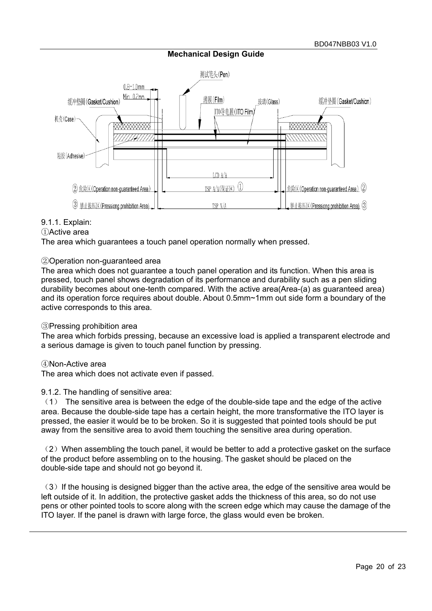#### **Mechanical Design Guide**



#### 9.1.1. Explain:

#### ①Active area

The area which guarantees a touch panel operation normally when pressed.

#### ②Operation non-guaranteed area

The area which does not guarantee a touch panel operation and its function. When this area is pressed, touch panel shows degradation of its performance and durability such as a pen sliding durability becomes about one-tenth compared. With the active area(Area-(a) as guaranteed area) and its operation force requires about double. About 0.5mm~1mm out side form a boundary of the active corresponds to this area.

#### ③Pressing prohibition area

The area which forbids pressing, because an excessive load is applied a transparent electrode and a serious damage is given to touch panel function by pressing.

#### ④Non-Active area

The area which does not activate even if passed.

#### 9.1.2. The handling of sensitive area:

(1) The sensitive area is between the edge of the double-side tape and the edge of the active area. Because the double-side tape has a certain height, the more transformative the ITO layer is pressed, the easier it would be to be broken. So it is suggested that pointed tools should be put away from the sensitive area to avoid them touching the sensitive area during operation.

 $(2)$  When assembling the touch panel, it would be better to add a protective gasket on the surface of the product before assembling on to the housing. The gasket should be placed on the double-side tape and should not go beyond it.

 $(3)$  If the housing is designed bigger than the active area, the edge of the sensitive area would be left outside of it. In addition, the protective gasket adds the thickness of this area, so do not use pens or other pointed tools to score along with the screen edge which may cause the damage of the ITO layer. If the panel is drawn with large force, the glass would even be broken.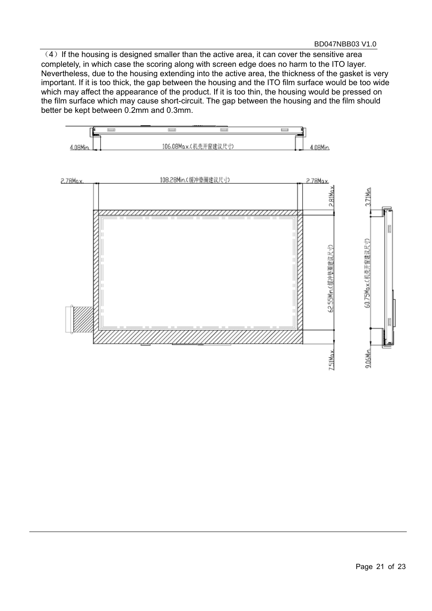$(4)$  If the housing is designed smaller than the active area, it can cover the sensitive area completely, in which case the scoring along with screen edge does no harm to the ITO layer. Nevertheless, due to the housing extending into the active area, the thickness of the gasket is very important. If it is too thick, the gap between the housing and the ITO film surface would be too wide which may affect the appearance of the product. If it is too thin, the housing would be pressed on the film surface which may cause short-circuit. The gap between the housing and the film should better be kept between 0.2mm and 0.3mm.

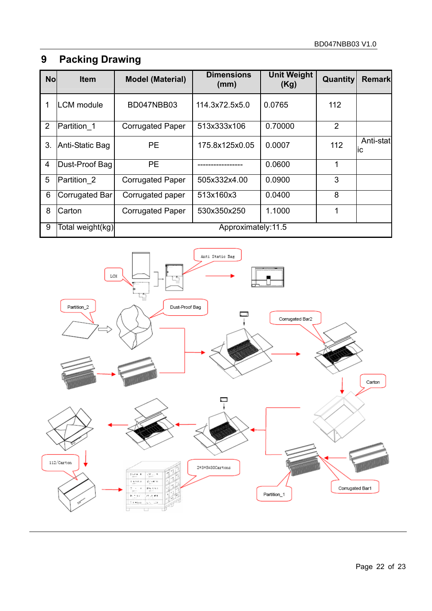# **9 Packing Drawing**

| <b>No</b> | <b>Item</b>      | <b>Model (Material)</b> | <b>Dimensions</b><br>(mm) | <b>Unit Weight</b><br>(Kg) | Quantity | <b>Remark</b>   |  |
|-----------|------------------|-------------------------|---------------------------|----------------------------|----------|-----------------|--|
|           | LCM module       | BD047NBB03              | 114.3x72.5x5.0            | 0.0765                     | 112      |                 |  |
| 2         | Partition 1      | <b>Corrugated Paper</b> | 513x333x106               | 0.70000                    | 2        |                 |  |
| 3.        | Anti-Static Bag  | <b>PE</b>               | 175.8x125x0.05            | 0.0007                     | 112      | Anti-stat<br>ÌС |  |
| 4         | Dust-Proof Bag   | <b>PE</b>               |                           | 0.0600                     | 1        |                 |  |
| 5         | Partition 2      | <b>Corrugated Paper</b> | 505x332x4.00              | 0.0900                     | 3        |                 |  |
| 6         | Corrugated Bar   | Corrugated paper        | 513x160x3                 | 0.0400                     | 8        |                 |  |
| 8         | Carton           | <b>Corrugated Paper</b> | 530x350x250               | 1.1000                     | 1        |                 |  |
| 9         | Total weight(kg) | Approximately:11.5      |                           |                            |          |                 |  |